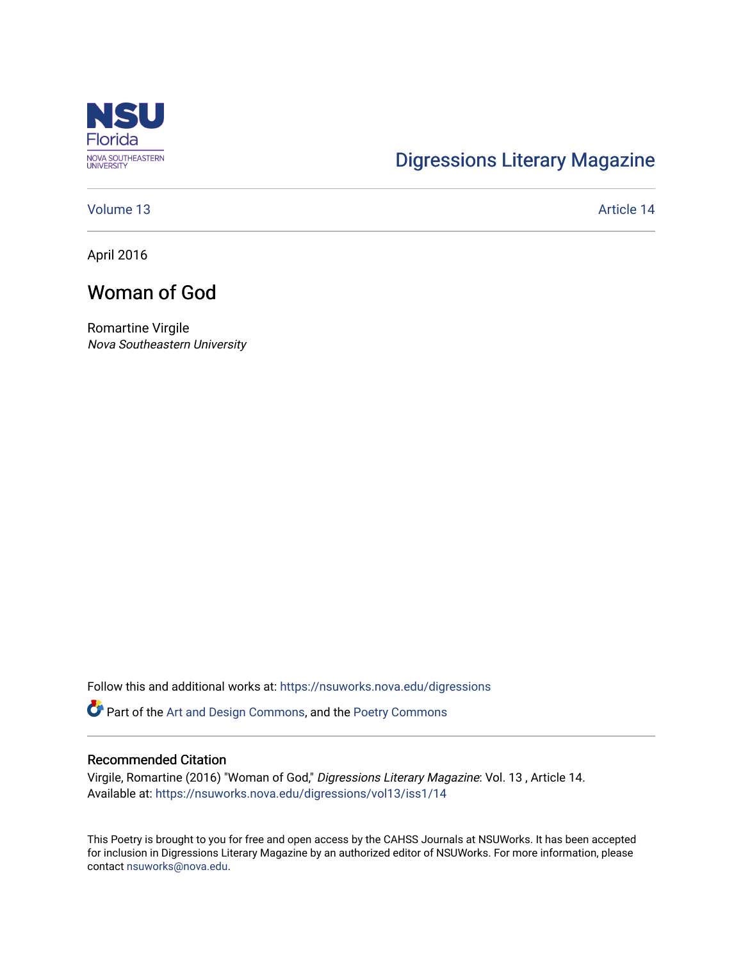

# [Digressions Literary Magazine](https://nsuworks.nova.edu/digressions)

[Volume 13](https://nsuworks.nova.edu/digressions/vol13) Article 14

April 2016

## Woman of God

Romartine Virgile Nova Southeastern University

Follow this and additional works at: [https://nsuworks.nova.edu/digressions](https://nsuworks.nova.edu/digressions?utm_source=nsuworks.nova.edu%2Fdigressions%2Fvol13%2Fiss1%2F14&utm_medium=PDF&utm_campaign=PDFCoverPages) 

Part of the [Art and Design Commons](http://network.bepress.com/hgg/discipline/1049?utm_source=nsuworks.nova.edu%2Fdigressions%2Fvol13%2Fiss1%2F14&utm_medium=PDF&utm_campaign=PDFCoverPages), and the [Poetry Commons](http://network.bepress.com/hgg/discipline/1153?utm_source=nsuworks.nova.edu%2Fdigressions%2Fvol13%2Fiss1%2F14&utm_medium=PDF&utm_campaign=PDFCoverPages) 

#### Recommended Citation

Virgile, Romartine (2016) "Woman of God," Digressions Literary Magazine: Vol. 13 , Article 14. Available at: [https://nsuworks.nova.edu/digressions/vol13/iss1/14](https://nsuworks.nova.edu/digressions/vol13/iss1/14?utm_source=nsuworks.nova.edu%2Fdigressions%2Fvol13%2Fiss1%2F14&utm_medium=PDF&utm_campaign=PDFCoverPages)

This Poetry is brought to you for free and open access by the CAHSS Journals at NSUWorks. It has been accepted for inclusion in Digressions Literary Magazine by an authorized editor of NSUWorks. For more information, please contact [nsuworks@nova.edu.](mailto:nsuworks@nova.edu)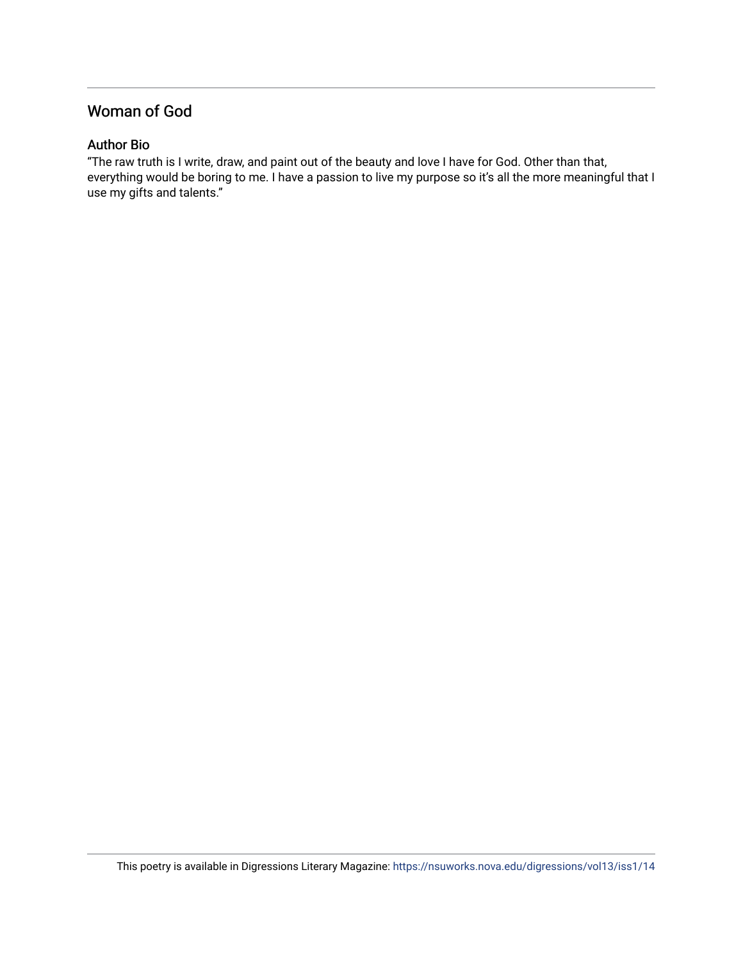### Woman of God

### Author Bio

"The raw truth is I write, draw, and paint out of the beauty and love I have for God. Other than that, everything would be boring to me. I have a passion to live my purpose so it's all the more meaningful that I use my gifts and talents."